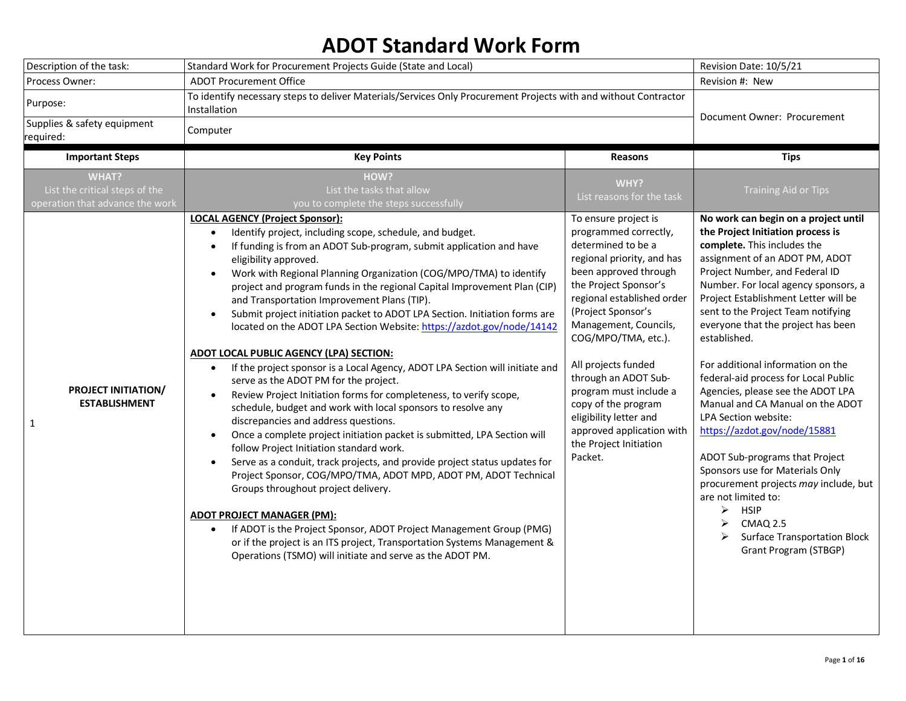## **ADOT Standard Work Form**

| Description of the task: |                                                                                                                                  | Standard Work for Procurement Projects Guide (State and Local)                                                                                                                                                                                                                                                                                                                                                                                                                                                                                                                                                                                                                                                                                                                                                                                                                                                                                                                                                                                                                                                                                                                                                                                                                                                                                                                                                                                                                                                                                                                                                                                                                        |                                                                                                                                                                                                                                                                                                                                                                                                                                                                                          | Revision Date: 10/5/21                                                                                                                                                                                                                                                                                                                                                                                                                                                                                                                                                                                                                                                                                                                                                                                                                                           |
|--------------------------|----------------------------------------------------------------------------------------------------------------------------------|---------------------------------------------------------------------------------------------------------------------------------------------------------------------------------------------------------------------------------------------------------------------------------------------------------------------------------------------------------------------------------------------------------------------------------------------------------------------------------------------------------------------------------------------------------------------------------------------------------------------------------------------------------------------------------------------------------------------------------------------------------------------------------------------------------------------------------------------------------------------------------------------------------------------------------------------------------------------------------------------------------------------------------------------------------------------------------------------------------------------------------------------------------------------------------------------------------------------------------------------------------------------------------------------------------------------------------------------------------------------------------------------------------------------------------------------------------------------------------------------------------------------------------------------------------------------------------------------------------------------------------------------------------------------------------------|------------------------------------------------------------------------------------------------------------------------------------------------------------------------------------------------------------------------------------------------------------------------------------------------------------------------------------------------------------------------------------------------------------------------------------------------------------------------------------------|------------------------------------------------------------------------------------------------------------------------------------------------------------------------------------------------------------------------------------------------------------------------------------------------------------------------------------------------------------------------------------------------------------------------------------------------------------------------------------------------------------------------------------------------------------------------------------------------------------------------------------------------------------------------------------------------------------------------------------------------------------------------------------------------------------------------------------------------------------------|
| Process Owner:           |                                                                                                                                  | <b>ADOT Procurement Office</b>                                                                                                                                                                                                                                                                                                                                                                                                                                                                                                                                                                                                                                                                                                                                                                                                                                                                                                                                                                                                                                                                                                                                                                                                                                                                                                                                                                                                                                                                                                                                                                                                                                                        |                                                                                                                                                                                                                                                                                                                                                                                                                                                                                          | Revision #: New                                                                                                                                                                                                                                                                                                                                                                                                                                                                                                                                                                                                                                                                                                                                                                                                                                                  |
| Purpose:                 |                                                                                                                                  | To identify necessary steps to deliver Materials/Services Only Procurement Projects with and without Contractor<br>Installation                                                                                                                                                                                                                                                                                                                                                                                                                                                                                                                                                                                                                                                                                                                                                                                                                                                                                                                                                                                                                                                                                                                                                                                                                                                                                                                                                                                                                                                                                                                                                       |                                                                                                                                                                                                                                                                                                                                                                                                                                                                                          | Document Owner: Procurement                                                                                                                                                                                                                                                                                                                                                                                                                                                                                                                                                                                                                                                                                                                                                                                                                                      |
| required:                | Supplies & safety equipment                                                                                                      | Computer                                                                                                                                                                                                                                                                                                                                                                                                                                                                                                                                                                                                                                                                                                                                                                                                                                                                                                                                                                                                                                                                                                                                                                                                                                                                                                                                                                                                                                                                                                                                                                                                                                                                              |                                                                                                                                                                                                                                                                                                                                                                                                                                                                                          |                                                                                                                                                                                                                                                                                                                                                                                                                                                                                                                                                                                                                                                                                                                                                                                                                                                                  |
|                          | <b>Important Steps</b>                                                                                                           | <b>Key Points</b>                                                                                                                                                                                                                                                                                                                                                                                                                                                                                                                                                                                                                                                                                                                                                                                                                                                                                                                                                                                                                                                                                                                                                                                                                                                                                                                                                                                                                                                                                                                                                                                                                                                                     | Reasons                                                                                                                                                                                                                                                                                                                                                                                                                                                                                  | <b>Tips</b>                                                                                                                                                                                                                                                                                                                                                                                                                                                                                                                                                                                                                                                                                                                                                                                                                                                      |
| $\mathbf{1}$             | <b>WHAT?</b><br>List the critical steps of the<br>operation that advance the work<br>PROJECT INITIATION/<br><b>ESTABLISHMENT</b> | HOW?<br>List the tasks that allow<br>you to complete the steps successfully<br><b>LOCAL AGENCY (Project Sponsor):</b><br>Identify project, including scope, schedule, and budget.<br>$\bullet$<br>If funding is from an ADOT Sub-program, submit application and have<br>$\bullet$<br>eligibility approved.<br>Work with Regional Planning Organization (COG/MPO/TMA) to identify<br>$\bullet$<br>project and program funds in the regional Capital Improvement Plan (CIP)<br>and Transportation Improvement Plans (TIP).<br>Submit project initiation packet to ADOT LPA Section. Initiation forms are<br>$\bullet$<br>located on the ADOT LPA Section Website: https://azdot.gov/node/14142<br>ADOT LOCAL PUBLIC AGENCY (LPA) SECTION:<br>If the project sponsor is a Local Agency, ADOT LPA Section will initiate and<br>$\bullet$<br>serve as the ADOT PM for the project.<br>Review Project Initiation forms for completeness, to verify scope,<br>$\bullet$<br>schedule, budget and work with local sponsors to resolve any<br>discrepancies and address questions.<br>Once a complete project initiation packet is submitted, LPA Section will<br>$\bullet$<br>follow Project Initiation standard work.<br>Serve as a conduit, track projects, and provide project status updates for<br>$\bullet$<br>Project Sponsor, COG/MPO/TMA, ADOT MPD, ADOT PM, ADOT Technical<br>Groups throughout project delivery.<br><b>ADOT PROJECT MANAGER (PM):</b><br>If ADOT is the Project Sponsor, ADOT Project Management Group (PMG)<br>$\bullet$<br>or if the project is an ITS project, Transportation Systems Management &<br>Operations (TSMO) will initiate and serve as the ADOT PM. | WHY?<br>List reasons for the task<br>To ensure project is<br>programmed correctly,<br>determined to be a<br>regional priority, and has<br>been approved through<br>the Project Sponsor's<br>regional established order<br>(Project Sponsor's<br>Management, Councils,<br>COG/MPO/TMA, etc.).<br>All projects funded<br>through an ADOT Sub-<br>program must include a<br>copy of the program<br>eligibility letter and<br>approved application with<br>the Project Initiation<br>Packet. | <b>Training Aid or Tips</b><br>No work can begin on a project until<br>the Project Initiation process is<br>complete. This includes the<br>assignment of an ADOT PM, ADOT<br>Project Number, and Federal ID<br>Number. For local agency sponsors, a<br>Project Establishment Letter will be<br>sent to the Project Team notifying<br>everyone that the project has been<br>established.<br>For additional information on the<br>federal-aid process for Local Public<br>Agencies, please see the ADOT LPA<br>Manual and CA Manual on the ADOT<br>LPA Section website:<br>https://azdot.gov/node/15881<br>ADOT Sub-programs that Project<br>Sponsors use for Materials Only<br>procurement projects may include, but<br>are not limited to:<br>$\triangleright$ HSIP<br><b>CMAQ 2.5</b><br>➤<br>≻<br><b>Surface Transportation Block</b><br>Grant Program (STBGP) |
|                          |                                                                                                                                  |                                                                                                                                                                                                                                                                                                                                                                                                                                                                                                                                                                                                                                                                                                                                                                                                                                                                                                                                                                                                                                                                                                                                                                                                                                                                                                                                                                                                                                                                                                                                                                                                                                                                                       |                                                                                                                                                                                                                                                                                                                                                                                                                                                                                          |                                                                                                                                                                                                                                                                                                                                                                                                                                                                                                                                                                                                                                                                                                                                                                                                                                                                  |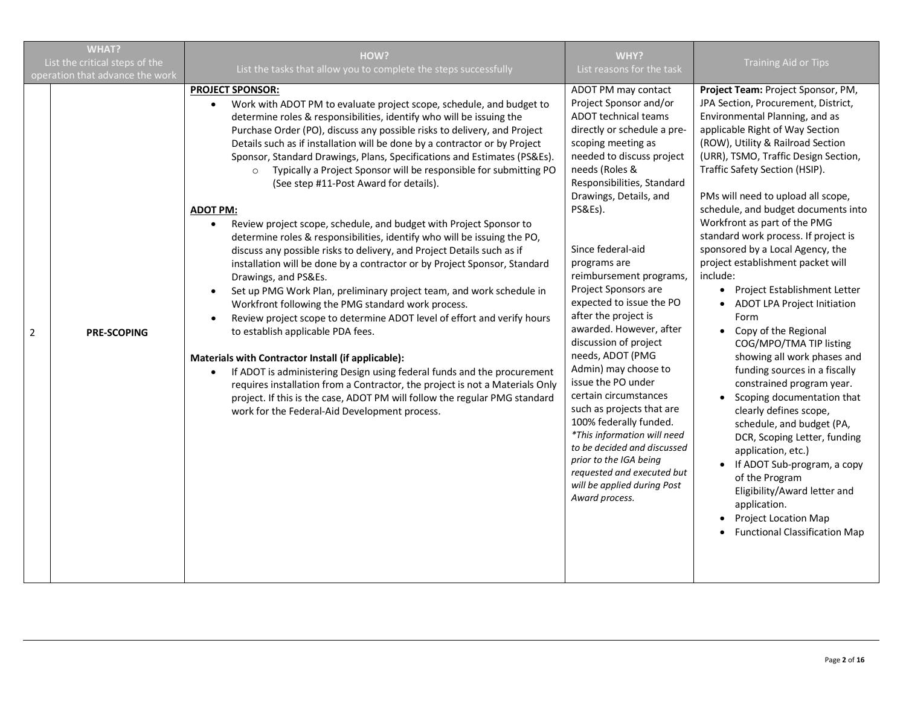|                | <b>WHAT?</b><br>List the critical steps of the<br>operation that advance the work | HOW?<br>List the tasks that allow you to complete the steps successfully                                                                                                                                                                                                                                                                                                                                                                                                                                                                                                                                                                                                                                                                                                                                                                                                                                                                                                                                                                                                                                                                                                                                                                                                                                                                                                                                                                                                                                                                                   | WHY?<br>List reasons for the task                                                                                                                                                                                                                                                                                                                                                                                                                                                                                                                                                                                                                                                                                                                                            | <b>Training Aid or Tips</b>                                                                                                                                                                                                                                                                                                                                                                                                                                                                                                                                                                                                                                                                                                                                                                                                                                                                                                                                                                                                                                                 |
|----------------|-----------------------------------------------------------------------------------|------------------------------------------------------------------------------------------------------------------------------------------------------------------------------------------------------------------------------------------------------------------------------------------------------------------------------------------------------------------------------------------------------------------------------------------------------------------------------------------------------------------------------------------------------------------------------------------------------------------------------------------------------------------------------------------------------------------------------------------------------------------------------------------------------------------------------------------------------------------------------------------------------------------------------------------------------------------------------------------------------------------------------------------------------------------------------------------------------------------------------------------------------------------------------------------------------------------------------------------------------------------------------------------------------------------------------------------------------------------------------------------------------------------------------------------------------------------------------------------------------------------------------------------------------------|------------------------------------------------------------------------------------------------------------------------------------------------------------------------------------------------------------------------------------------------------------------------------------------------------------------------------------------------------------------------------------------------------------------------------------------------------------------------------------------------------------------------------------------------------------------------------------------------------------------------------------------------------------------------------------------------------------------------------------------------------------------------------|-----------------------------------------------------------------------------------------------------------------------------------------------------------------------------------------------------------------------------------------------------------------------------------------------------------------------------------------------------------------------------------------------------------------------------------------------------------------------------------------------------------------------------------------------------------------------------------------------------------------------------------------------------------------------------------------------------------------------------------------------------------------------------------------------------------------------------------------------------------------------------------------------------------------------------------------------------------------------------------------------------------------------------------------------------------------------------|
| $\overline{2}$ | <b>PRE-SCOPING</b>                                                                | <b>PROJECT SPONSOR:</b><br>Work with ADOT PM to evaluate project scope, schedule, and budget to<br>$\bullet$<br>determine roles & responsibilities, identify who will be issuing the<br>Purchase Order (PO), discuss any possible risks to delivery, and Project<br>Details such as if installation will be done by a contractor or by Project<br>Sponsor, Standard Drawings, Plans, Specifications and Estimates (PS&Es).<br>Typically a Project Sponsor will be responsible for submitting PO<br>$\circ$<br>(See step #11-Post Award for details).<br><b>ADOT PM:</b><br>Review project scope, schedule, and budget with Project Sponsor to<br>$\bullet$<br>determine roles & responsibilities, identify who will be issuing the PO,<br>discuss any possible risks to delivery, and Project Details such as if<br>installation will be done by a contractor or by Project Sponsor, Standard<br>Drawings, and PS&Es.<br>Set up PMG Work Plan, preliminary project team, and work schedule in<br>$\bullet$<br>Workfront following the PMG standard work process.<br>Review project scope to determine ADOT level of effort and verify hours<br>$\bullet$<br>to establish applicable PDA fees.<br>Materials with Contractor Install (if applicable):<br>If ADOT is administering Design using federal funds and the procurement<br>$\bullet$<br>requires installation from a Contractor, the project is not a Materials Only<br>project. If this is the case, ADOT PM will follow the regular PMG standard<br>work for the Federal-Aid Development process. | ADOT PM may contact<br>Project Sponsor and/or<br><b>ADOT technical teams</b><br>directly or schedule a pre-<br>scoping meeting as<br>needed to discuss project<br>needs (Roles &<br>Responsibilities, Standard<br>Drawings, Details, and<br>PS&Es).<br>Since federal-aid<br>programs are<br>reimbursement programs,<br>Project Sponsors are<br>expected to issue the PO<br>after the project is<br>awarded. However, after<br>discussion of project<br>needs, ADOT (PMG<br>Admin) may choose to<br>issue the PO under<br>certain circumstances<br>such as projects that are<br>100% federally funded.<br>*This information will need<br>to be decided and discussed<br>prior to the IGA being<br>requested and executed but<br>will be applied during Post<br>Award process. | Project Team: Project Sponsor, PM,<br>JPA Section, Procurement, District,<br>Environmental Planning, and as<br>applicable Right of Way Section<br>(ROW), Utility & Railroad Section<br>(URR), TSMO, Traffic Design Section,<br>Traffic Safety Section (HSIP).<br>PMs will need to upload all scope,<br>schedule, and budget documents into<br>Workfront as part of the PMG<br>standard work process. If project is<br>sponsored by a Local Agency, the<br>project establishment packet will<br>include:<br>Project Establishment Letter<br>$\bullet$<br>ADOT LPA Project Initiation<br>Form<br>Copy of the Regional<br>COG/MPO/TMA TIP listing<br>showing all work phases and<br>funding sources in a fiscally<br>constrained program year.<br>Scoping documentation that<br>clearly defines scope,<br>schedule, and budget (PA,<br>DCR, Scoping Letter, funding<br>application, etc.)<br>If ADOT Sub-program, a copy<br>$\bullet$<br>of the Program<br>Eligibility/Award letter and<br>application.<br><b>Project Location Map</b><br><b>Functional Classification Map</b> |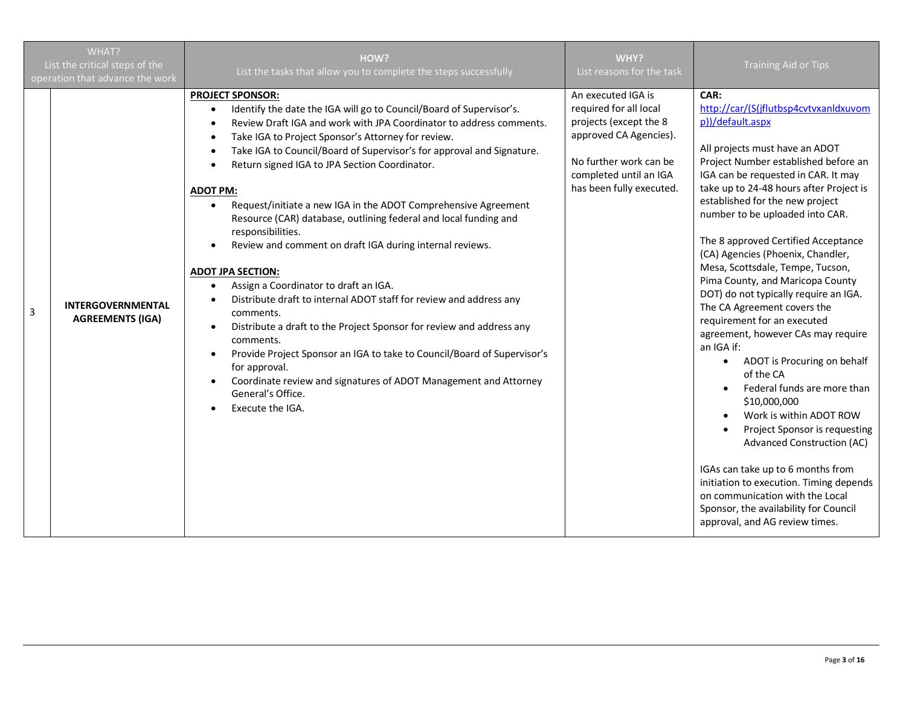|   | WHAT?<br>List the critical steps of the<br>operation that advance the work | HOW?<br>List the tasks that allow you to complete the steps successfully                                                                                                                                                                                                                                                                                                                                                                                                                                                                                                                                                                                                                                                                                                                                                                                                                                                                                                                                                                                                                                       | WHY?<br>List reasons for the task                                                                                                                                                | <b>Training Aid or Tips</b>                                                                                                                                                                                                                                                                                                                                                                                                                                                                                                                                                                                                                                                                                                                                                                                                                                                                                                                                                                                  |
|---|----------------------------------------------------------------------------|----------------------------------------------------------------------------------------------------------------------------------------------------------------------------------------------------------------------------------------------------------------------------------------------------------------------------------------------------------------------------------------------------------------------------------------------------------------------------------------------------------------------------------------------------------------------------------------------------------------------------------------------------------------------------------------------------------------------------------------------------------------------------------------------------------------------------------------------------------------------------------------------------------------------------------------------------------------------------------------------------------------------------------------------------------------------------------------------------------------|----------------------------------------------------------------------------------------------------------------------------------------------------------------------------------|--------------------------------------------------------------------------------------------------------------------------------------------------------------------------------------------------------------------------------------------------------------------------------------------------------------------------------------------------------------------------------------------------------------------------------------------------------------------------------------------------------------------------------------------------------------------------------------------------------------------------------------------------------------------------------------------------------------------------------------------------------------------------------------------------------------------------------------------------------------------------------------------------------------------------------------------------------------------------------------------------------------|
| 3 | <b>INTERGOVERNMENTAL</b><br><b>AGREEMENTS (IGA)</b>                        | <b>PROJECT SPONSOR:</b><br>Identify the date the IGA will go to Council/Board of Supervisor's.<br>$\bullet$<br>Review Draft IGA and work with JPA Coordinator to address comments.<br>Take IGA to Project Sponsor's Attorney for review.<br>٠<br>Take IGA to Council/Board of Supervisor's for approval and Signature.<br>Return signed IGA to JPA Section Coordinator.<br><b>ADOT PM:</b><br>Request/initiate a new IGA in the ADOT Comprehensive Agreement<br>Resource (CAR) database, outlining federal and local funding and<br>responsibilities.<br>Review and comment on draft IGA during internal reviews.<br>$\bullet$<br><b>ADOT JPA SECTION:</b><br>Assign a Coordinator to draft an IGA.<br>Distribute draft to internal ADOT staff for review and address any<br>comments.<br>Distribute a draft to the Project Sponsor for review and address any<br>$\bullet$<br>comments.<br>Provide Project Sponsor an IGA to take to Council/Board of Supervisor's<br>$\bullet$<br>for approval.<br>Coordinate review and signatures of ADOT Management and Attorney<br>General's Office.<br>Execute the IGA. | An executed IGA is<br>required for all local<br>projects (except the 8<br>approved CA Agencies).<br>No further work can be<br>completed until an IGA<br>has been fully executed. | CAR:<br>http://car/(S(jflutbsp4cvtvxanldxuvom<br>p))/default.aspx<br>All projects must have an ADOT<br>Project Number established before an<br>IGA can be requested in CAR. It may<br>take up to 24-48 hours after Project is<br>established for the new project<br>number to be uploaded into CAR.<br>The 8 approved Certified Acceptance<br>(CA) Agencies (Phoenix, Chandler,<br>Mesa, Scottsdale, Tempe, Tucson,<br>Pima County, and Maricopa County<br>DOT) do not typically require an IGA.<br>The CA Agreement covers the<br>requirement for an executed<br>agreement, however CAs may require<br>an IGA if:<br>ADOT is Procuring on behalf<br>of the CA<br>Federal funds are more than<br>\$10,000,000<br>Work is within ADOT ROW<br>Project Sponsor is requesting<br><b>Advanced Construction (AC)</b><br>IGAs can take up to 6 months from<br>initiation to execution. Timing depends<br>on communication with the Local<br>Sponsor, the availability for Council<br>approval, and AG review times. |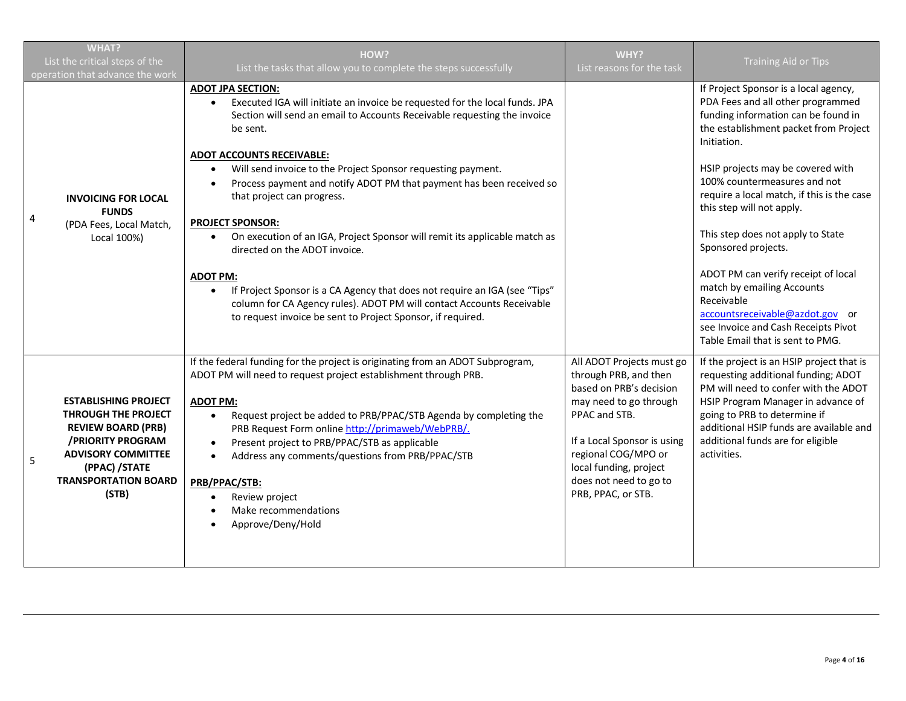|   | <b>WHAT?</b><br>List the critical steps of the<br>operation that advance the work                                                                                                                 | HOW?<br>List the tasks that allow you to complete the steps successfully                                                                                                                                                                                                                                                                                                                                                                                                                                                               | WHY?<br>List reasons for the task                                                                                                                                                                                                                        | <b>Training Aid or Tips</b>                                                                                                                                                                                                                                                                   |
|---|---------------------------------------------------------------------------------------------------------------------------------------------------------------------------------------------------|----------------------------------------------------------------------------------------------------------------------------------------------------------------------------------------------------------------------------------------------------------------------------------------------------------------------------------------------------------------------------------------------------------------------------------------------------------------------------------------------------------------------------------------|----------------------------------------------------------------------------------------------------------------------------------------------------------------------------------------------------------------------------------------------------------|-----------------------------------------------------------------------------------------------------------------------------------------------------------------------------------------------------------------------------------------------------------------------------------------------|
|   | <b>INVOICING FOR LOCAL</b><br><b>FUNDS</b><br>(PDA Fees, Local Match,<br>Local 100%)                                                                                                              | <b>ADOT JPA SECTION:</b><br>Executed IGA will initiate an invoice be requested for the local funds. JPA<br>Section will send an email to Accounts Receivable requesting the invoice<br>be sent.<br><b>ADOT ACCOUNTS RECEIVABLE:</b><br>Will send invoice to the Project Sponsor requesting payment.<br>Process payment and notify ADOT PM that payment has been received so<br>$\bullet$                                                                                                                                               |                                                                                                                                                                                                                                                          | If Project Sponsor is a local agency,<br>PDA Fees and all other programmed<br>funding information can be found in<br>the establishment packet from Project<br>Initiation.<br>HSIP projects may be covered with<br>100% countermeasures and not                                                |
| 4 |                                                                                                                                                                                                   | that project can progress.<br><b>PROJECT SPONSOR:</b><br>On execution of an IGA, Project Sponsor will remit its applicable match as<br>$\bullet$<br>directed on the ADOT invoice.                                                                                                                                                                                                                                                                                                                                                      |                                                                                                                                                                                                                                                          | require a local match, if this is the case<br>this step will not apply.<br>This step does not apply to State<br>Sponsored projects.                                                                                                                                                           |
|   |                                                                                                                                                                                                   | <b>ADOT PM:</b><br>If Project Sponsor is a CA Agency that does not require an IGA (see "Tips"<br>$\bullet$<br>column for CA Agency rules). ADOT PM will contact Accounts Receivable<br>to request invoice be sent to Project Sponsor, if required.                                                                                                                                                                                                                                                                                     |                                                                                                                                                                                                                                                          | ADOT PM can verify receipt of local<br>match by emailing Accounts<br>Receivable<br>accountsreceivable@azdot.gov or<br>see Invoice and Cash Receipts Pivot<br>Table Email that is sent to PMG.                                                                                                 |
| 5 | <b>ESTABLISHING PROJECT</b><br><b>THROUGH THE PROJECT</b><br><b>REVIEW BOARD (PRB)</b><br>/PRIORITY PROGRAM<br><b>ADVISORY COMMITTEE</b><br>(PPAC) /STATE<br><b>TRANSPORTATION BOARD</b><br>(STB) | If the federal funding for the project is originating from an ADOT Subprogram,<br>ADOT PM will need to request project establishment through PRB.<br><b>ADOT PM:</b><br>Request project be added to PRB/PPAC/STB Agenda by completing the<br>$\bullet$<br>PRB Request Form online http://primaweb/WebPRB/.<br>Present project to PRB/PPAC/STB as applicable<br>$\bullet$<br>Address any comments/questions from PRB/PPAC/STB<br>$\bullet$<br>PRB/PPAC/STB:<br>Review project<br>$\bullet$<br>Make recommendations<br>Approve/Deny/Hold | All ADOT Projects must go<br>through PRB, and then<br>based on PRB's decision<br>may need to go through<br>PPAC and STB.<br>If a Local Sponsor is using<br>regional COG/MPO or<br>local funding, project<br>does not need to go to<br>PRB, PPAC, or STB. | If the project is an HSIP project that is<br>requesting additional funding; ADOT<br>PM will need to confer with the ADOT<br>HSIP Program Manager in advance of<br>going to PRB to determine if<br>additional HSIP funds are available and<br>additional funds are for eligible<br>activities. |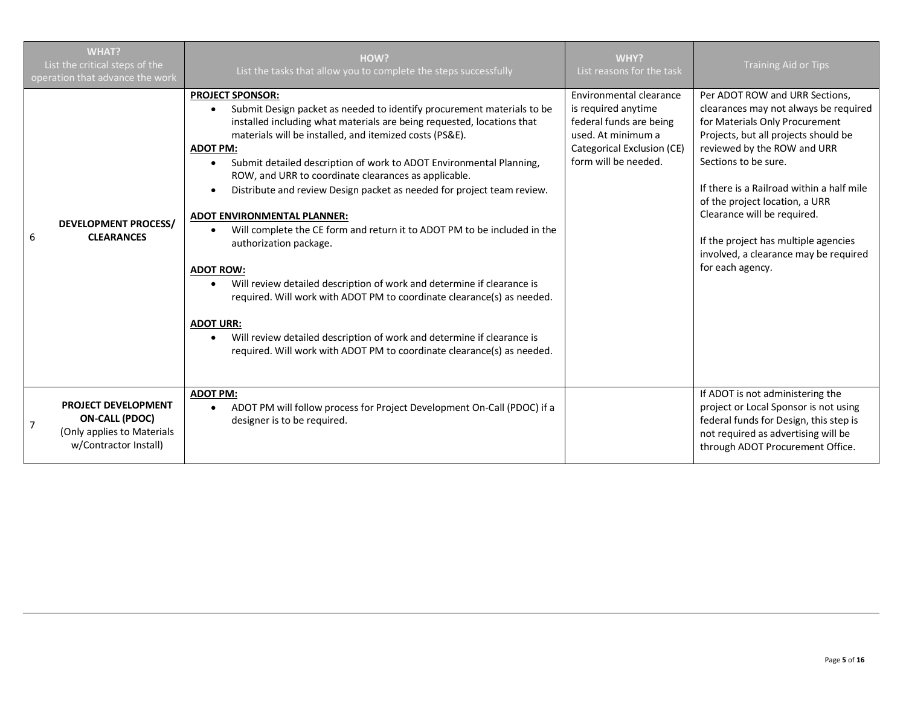|                | <b>WHAT?</b><br>List the critical steps of the<br>operation that advance the work                          | HOW?<br>List the tasks that allow you to complete the steps successfully                                                                                                                                                                                                                                                                                                                                                                                                                                                                                                                                                                                                                                                                                                                                                                                                                                                                                                                                           | <b>WHY?</b><br>List reasons for the task                                                                                                              | <b>Training Aid or Tips</b>                                                                                                                                                                                                                                                                                                                                                                                                 |
|----------------|------------------------------------------------------------------------------------------------------------|--------------------------------------------------------------------------------------------------------------------------------------------------------------------------------------------------------------------------------------------------------------------------------------------------------------------------------------------------------------------------------------------------------------------------------------------------------------------------------------------------------------------------------------------------------------------------------------------------------------------------------------------------------------------------------------------------------------------------------------------------------------------------------------------------------------------------------------------------------------------------------------------------------------------------------------------------------------------------------------------------------------------|-------------------------------------------------------------------------------------------------------------------------------------------------------|-----------------------------------------------------------------------------------------------------------------------------------------------------------------------------------------------------------------------------------------------------------------------------------------------------------------------------------------------------------------------------------------------------------------------------|
| 6              | <b>DEVELOPMENT PROCESS/</b><br><b>CLEARANCES</b>                                                           | <b>PROJECT SPONSOR:</b><br>Submit Design packet as needed to identify procurement materials to be<br>$\bullet$<br>installed including what materials are being requested, locations that<br>materials will be installed, and itemized costs (PS&E).<br><b>ADOT PM:</b><br>Submit detailed description of work to ADOT Environmental Planning,<br>$\bullet$<br>ROW, and URR to coordinate clearances as applicable.<br>Distribute and review Design packet as needed for project team review.<br>$\bullet$<br><b>ADOT ENVIRONMENTAL PLANNER:</b><br>Will complete the CE form and return it to ADOT PM to be included in the<br>$\bullet$<br>authorization package.<br><b>ADOT ROW:</b><br>Will review detailed description of work and determine if clearance is<br>required. Will work with ADOT PM to coordinate clearance(s) as needed.<br><b>ADOT URR:</b><br>Will review detailed description of work and determine if clearance is<br>required. Will work with ADOT PM to coordinate clearance(s) as needed. | Environmental clearance<br>is required anytime<br>federal funds are being<br>used. At minimum a<br>Categorical Exclusion (CE)<br>form will be needed. | Per ADOT ROW and URR Sections,<br>clearances may not always be required<br>for Materials Only Procurement<br>Projects, but all projects should be<br>reviewed by the ROW and URR<br>Sections to be sure.<br>If there is a Railroad within a half mile<br>of the project location, a URR<br>Clearance will be required.<br>If the project has multiple agencies<br>involved, a clearance may be required<br>for each agency. |
| $\overline{7}$ | <b>PROJECT DEVELOPMENT</b><br><b>ON-CALL (PDOC)</b><br>(Only applies to Materials<br>w/Contractor Install) | <b>ADOT PM:</b><br>ADOT PM will follow process for Project Development On-Call (PDOC) if a<br>$\bullet$<br>designer is to be required.                                                                                                                                                                                                                                                                                                                                                                                                                                                                                                                                                                                                                                                                                                                                                                                                                                                                             |                                                                                                                                                       | If ADOT is not administering the<br>project or Local Sponsor is not using<br>federal funds for Design, this step is<br>not required as advertising will be<br>through ADOT Procurement Office.                                                                                                                                                                                                                              |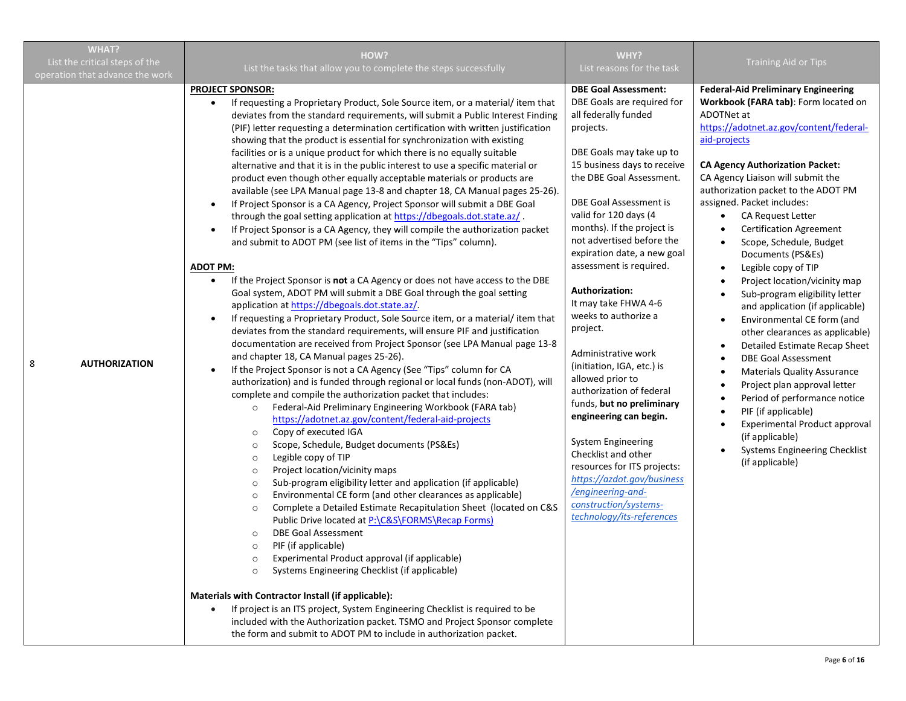|   | <b>WHAT?</b>                                                      | HOW?                                                                                                                                                                                                                                                                                                                                                                                                                                                                                                                                                                                                                                                                                                                                                                                                                                                                                                                                                                                                                                                                                                                                                                                                                                                                                                                                                                                                                                                                                                                                                                                                                                                                                                                                                                                                                                                                                                                                                                                                                                                                                                                                                                                                                                                                                                                                                                                                                                                                                                                                                                                                                                                                                                                                                                                                                                                                                            | WHY?                                                                                                                                                                                                                                                                                                                                                                                                                                                                                                                                                                                                                                                                                                                                                                                         |                                                                                                                                                                                                                                                                                                                                                                                                                                                                                                                                                                                                                                                                                                                                                                                                                                                                                                                                                     |
|---|-------------------------------------------------------------------|-------------------------------------------------------------------------------------------------------------------------------------------------------------------------------------------------------------------------------------------------------------------------------------------------------------------------------------------------------------------------------------------------------------------------------------------------------------------------------------------------------------------------------------------------------------------------------------------------------------------------------------------------------------------------------------------------------------------------------------------------------------------------------------------------------------------------------------------------------------------------------------------------------------------------------------------------------------------------------------------------------------------------------------------------------------------------------------------------------------------------------------------------------------------------------------------------------------------------------------------------------------------------------------------------------------------------------------------------------------------------------------------------------------------------------------------------------------------------------------------------------------------------------------------------------------------------------------------------------------------------------------------------------------------------------------------------------------------------------------------------------------------------------------------------------------------------------------------------------------------------------------------------------------------------------------------------------------------------------------------------------------------------------------------------------------------------------------------------------------------------------------------------------------------------------------------------------------------------------------------------------------------------------------------------------------------------------------------------------------------------------------------------------------------------------------------------------------------------------------------------------------------------------------------------------------------------------------------------------------------------------------------------------------------------------------------------------------------------------------------------------------------------------------------------------------------------------------------------------------------------------------------------|----------------------------------------------------------------------------------------------------------------------------------------------------------------------------------------------------------------------------------------------------------------------------------------------------------------------------------------------------------------------------------------------------------------------------------------------------------------------------------------------------------------------------------------------------------------------------------------------------------------------------------------------------------------------------------------------------------------------------------------------------------------------------------------------|-----------------------------------------------------------------------------------------------------------------------------------------------------------------------------------------------------------------------------------------------------------------------------------------------------------------------------------------------------------------------------------------------------------------------------------------------------------------------------------------------------------------------------------------------------------------------------------------------------------------------------------------------------------------------------------------------------------------------------------------------------------------------------------------------------------------------------------------------------------------------------------------------------------------------------------------------------|
|   | List the critical steps of the<br>operation that advance the work | List the tasks that allow you to complete the steps successfully                                                                                                                                                                                                                                                                                                                                                                                                                                                                                                                                                                                                                                                                                                                                                                                                                                                                                                                                                                                                                                                                                                                                                                                                                                                                                                                                                                                                                                                                                                                                                                                                                                                                                                                                                                                                                                                                                                                                                                                                                                                                                                                                                                                                                                                                                                                                                                                                                                                                                                                                                                                                                                                                                                                                                                                                                                | List reasons for the task                                                                                                                                                                                                                                                                                                                                                                                                                                                                                                                                                                                                                                                                                                                                                                    | <b>Training Aid or Tips</b>                                                                                                                                                                                                                                                                                                                                                                                                                                                                                                                                                                                                                                                                                                                                                                                                                                                                                                                         |
| 8 | <b>AUTHORIZATION</b>                                              | <b>PROJECT SPONSOR:</b><br>If requesting a Proprietary Product, Sole Source item, or a material/item that<br>deviates from the standard requirements, will submit a Public Interest Finding<br>(PIF) letter requesting a determination certification with written justification<br>showing that the product is essential for synchronization with existing<br>facilities or is a unique product for which there is no equally suitable<br>alternative and that it is in the public interest to use a specific material or<br>product even though other equally acceptable materials or products are<br>available (see LPA Manual page 13-8 and chapter 18, CA Manual pages 25-26).<br>If Project Sponsor is a CA Agency, Project Sponsor will submit a DBE Goal<br>$\bullet$<br>through the goal setting application at https://dbegoals.dot.state.az/.<br>If Project Sponsor is a CA Agency, they will compile the authorization packet<br>$\bullet$<br>and submit to ADOT PM (see list of items in the "Tips" column).<br><b>ADOT PM:</b><br>If the Project Sponsor is not a CA Agency or does not have access to the DBE<br>$\bullet$<br>Goal system, ADOT PM will submit a DBE Goal through the goal setting<br>application at https://dbegoals.dot.state.az/.<br>If requesting a Proprietary Product, Sole Source item, or a material/item that<br>$\bullet$<br>deviates from the standard requirements, will ensure PIF and justification<br>documentation are received from Project Sponsor (see LPA Manual page 13-8<br>and chapter 18, CA Manual pages 25-26).<br>If the Project Sponsor is not a CA Agency (See "Tips" column for CA<br>$\bullet$<br>authorization) and is funded through regional or local funds (non-ADOT), will<br>complete and compile the authorization packet that includes:<br>Federal-Aid Preliminary Engineering Workbook (FARA tab)<br>$\circ$<br>https://adotnet.az.gov/content/federal-aid-projects<br>Copy of executed IGA<br>$\circ$<br>Scope, Schedule, Budget documents (PS&Es)<br>$\circ$<br>Legible copy of TIP<br>$\circ$<br>Project location/vicinity maps<br>$\circ$<br>Sub-program eligibility letter and application (if applicable)<br>$\circ$<br>Environmental CE form (and other clearances as applicable)<br>$\circ$<br>Complete a Detailed Estimate Recapitulation Sheet (located on C&S<br>$\circ$<br>Public Drive located at P:\C&S\FORMS\Recap Forms)<br><b>DBE Goal Assessment</b><br>$\circ$<br>PIF (if applicable)<br>$\circ$<br>Experimental Product approval (if applicable)<br>Systems Engineering Checklist (if applicable)<br>$\circ$<br>Materials with Contractor Install (if applicable):<br>If project is an ITS project, System Engineering Checklist is required to be<br>included with the Authorization packet. TSMO and Project Sponsor complete<br>the form and submit to ADOT PM to include in authorization packet. | <b>DBE Goal Assessment:</b><br>DBE Goals are required for<br>all federally funded<br>projects.<br>DBE Goals may take up to<br>15 business days to receive<br>the DBE Goal Assessment.<br>DBE Goal Assessment is<br>valid for 120 days (4<br>months). If the project is<br>not advertised before the<br>expiration date, a new goal<br>assessment is required.<br>Authorization:<br>It may take FHWA 4-6<br>weeks to authorize a<br>project.<br>Administrative work<br>(initiation, IGA, etc.) is<br>allowed prior to<br>authorization of federal<br>funds, but no preliminary<br>engineering can begin.<br>System Engineering<br>Checklist and other<br>resources for ITS projects:<br>https://azdot.gov/business<br>/engineering-and-<br>construction/systems-<br>technology/its-references | <b>Federal-Aid Preliminary Engineering</b><br>Workbook (FARA tab): Form located on<br>ADOTNet at<br>https://adotnet.az.gov/content/federal-<br>aid-projects<br><b>CA Agency Authorization Packet:</b><br>CA Agency Liaison will submit the<br>authorization packet to the ADOT PM<br>assigned. Packet includes:<br><b>CA Request Letter</b><br>$\bullet$<br><b>Certification Agreement</b><br>Scope, Schedule, Budget<br>Documents (PS&Es)<br>Legible copy of TIP<br>Project location/vicinity map<br>Sub-program eligibility letter<br>and application (if applicable)<br>Environmental CE form (and<br>other clearances as applicable)<br>Detailed Estimate Recap Sheet<br><b>DBE Goal Assessment</b><br><b>Materials Quality Assurance</b><br>Project plan approval letter<br>Period of performance notice<br>PIF (if applicable)<br>Experimental Product approval<br>(if applicable)<br><b>Systems Engineering Checklist</b><br>(if applicable) |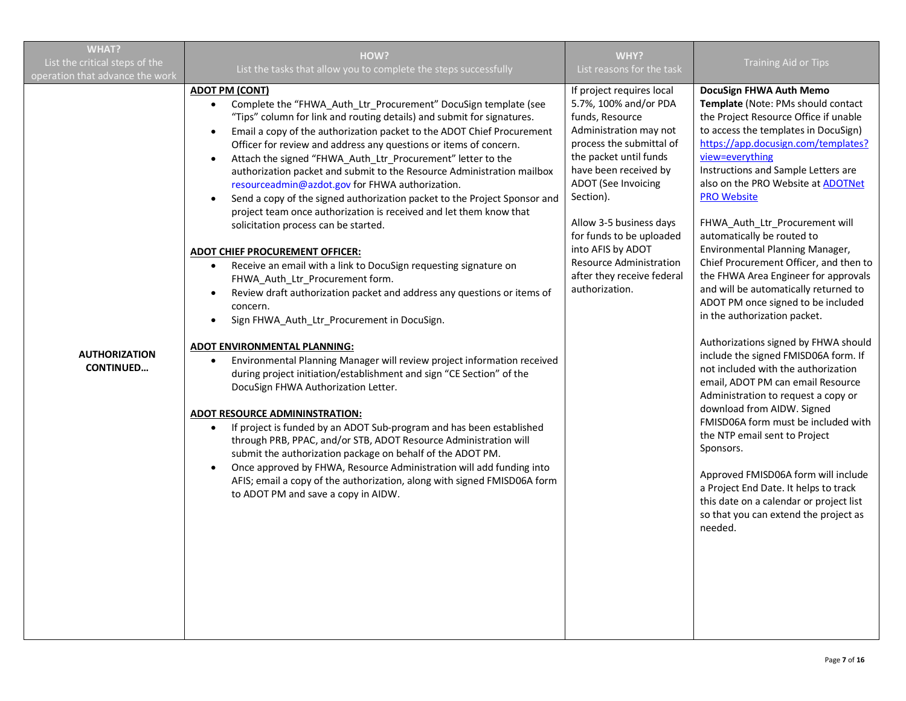| <b>WHAT?</b>                                                      | HOW?                                                                                                                                                                                                                                                                                                                                                                                                                                                                                                                                                                                                                                                                                                                                                                                                                                                                                                                                                                                                                                                                                                                                                                                                                                                                                                                                                                                                                                                                                                                                                                                                                                                                                                                                            | WHY?                                                                                                                                                                                                                                                                                                                                                                                    |                                                                                                                                                                                                                                                                                                                                                                                                                                                                                                                                                                                                                                                                                                                                                                                                                                                                                                                                                                                                                                                                                                                      |
|-------------------------------------------------------------------|-------------------------------------------------------------------------------------------------------------------------------------------------------------------------------------------------------------------------------------------------------------------------------------------------------------------------------------------------------------------------------------------------------------------------------------------------------------------------------------------------------------------------------------------------------------------------------------------------------------------------------------------------------------------------------------------------------------------------------------------------------------------------------------------------------------------------------------------------------------------------------------------------------------------------------------------------------------------------------------------------------------------------------------------------------------------------------------------------------------------------------------------------------------------------------------------------------------------------------------------------------------------------------------------------------------------------------------------------------------------------------------------------------------------------------------------------------------------------------------------------------------------------------------------------------------------------------------------------------------------------------------------------------------------------------------------------------------------------------------------------|-----------------------------------------------------------------------------------------------------------------------------------------------------------------------------------------------------------------------------------------------------------------------------------------------------------------------------------------------------------------------------------------|----------------------------------------------------------------------------------------------------------------------------------------------------------------------------------------------------------------------------------------------------------------------------------------------------------------------------------------------------------------------------------------------------------------------------------------------------------------------------------------------------------------------------------------------------------------------------------------------------------------------------------------------------------------------------------------------------------------------------------------------------------------------------------------------------------------------------------------------------------------------------------------------------------------------------------------------------------------------------------------------------------------------------------------------------------------------------------------------------------------------|
| List the critical steps of the<br>operation that advance the work | List the tasks that allow you to complete the steps successfully                                                                                                                                                                                                                                                                                                                                                                                                                                                                                                                                                                                                                                                                                                                                                                                                                                                                                                                                                                                                                                                                                                                                                                                                                                                                                                                                                                                                                                                                                                                                                                                                                                                                                | List reasons for the task                                                                                                                                                                                                                                                                                                                                                               | <b>Training Aid or Tips</b>                                                                                                                                                                                                                                                                                                                                                                                                                                                                                                                                                                                                                                                                                                                                                                                                                                                                                                                                                                                                                                                                                          |
| <b>AUTHORIZATION</b><br><b>CONTINUED</b>                          | <b>ADOT PM (CONT)</b><br>Complete the "FHWA_Auth_Ltr_Procurement" DocuSign template (see<br>"Tips" column for link and routing details) and submit for signatures.<br>Email a copy of the authorization packet to the ADOT Chief Procurement<br>$\bullet$<br>Officer for review and address any questions or items of concern.<br>Attach the signed "FHWA_Auth_Ltr_Procurement" letter to the<br>$\bullet$<br>authorization packet and submit to the Resource Administration mailbox<br>resourceadmin@azdot.gov for FHWA authorization.<br>Send a copy of the signed authorization packet to the Project Sponsor and<br>$\bullet$<br>project team once authorization is received and let them know that<br>solicitation process can be started.<br><b>ADOT CHIEF PROCUREMENT OFFICER:</b><br>Receive an email with a link to DocuSign requesting signature on<br>FHWA_Auth_Ltr_Procurement form.<br>Review draft authorization packet and address any questions or items of<br>concern.<br>Sign FHWA_Auth_Ltr_Procurement in DocuSign.<br><b>ADOT ENVIRONMENTAL PLANNING:</b><br>Environmental Planning Manager will review project information received<br>during project initiation/establishment and sign "CE Section" of the<br>DocuSign FHWA Authorization Letter.<br><b>ADOT RESOURCE ADMININSTRATION:</b><br>If project is funded by an ADOT Sub-program and has been established<br>$\bullet$<br>through PRB, PPAC, and/or STB, ADOT Resource Administration will<br>submit the authorization package on behalf of the ADOT PM.<br>Once approved by FHWA, Resource Administration will add funding into<br>$\bullet$<br>AFIS; email a copy of the authorization, along with signed FMISD06A form<br>to ADOT PM and save a copy in AIDW. | If project requires local<br>5.7%, 100% and/or PDA<br>funds, Resource<br>Administration may not<br>process the submittal of<br>the packet until funds<br>have been received by<br><b>ADOT</b> (See Invoicing<br>Section).<br>Allow 3-5 business days<br>for funds to be uploaded<br>into AFIS by ADOT<br><b>Resource Administration</b><br>after they receive federal<br>authorization. | DocuSign FHWA Auth Memo<br>Template (Note: PMs should contact<br>the Project Resource Office if unable<br>to access the templates in DocuSign)<br>https://app.docusign.com/templates?<br>view=everything<br>Instructions and Sample Letters are<br>also on the PRO Website at ADOTNet<br><b>PRO Website</b><br>FHWA_Auth_Ltr_Procurement will<br>automatically be routed to<br>Environmental Planning Manager,<br>Chief Procurement Officer, and then to<br>the FHWA Area Engineer for approvals<br>and will be automatically returned to<br>ADOT PM once signed to be included<br>in the authorization packet.<br>Authorizations signed by FHWA should<br>include the signed FMISD06A form. If<br>not included with the authorization<br>email, ADOT PM can email Resource<br>Administration to request a copy or<br>download from AIDW. Signed<br>FMISD06A form must be included with<br>the NTP email sent to Project<br>Sponsors.<br>Approved FMISD06A form will include<br>a Project End Date. It helps to track<br>this date on a calendar or project list<br>so that you can extend the project as<br>needed. |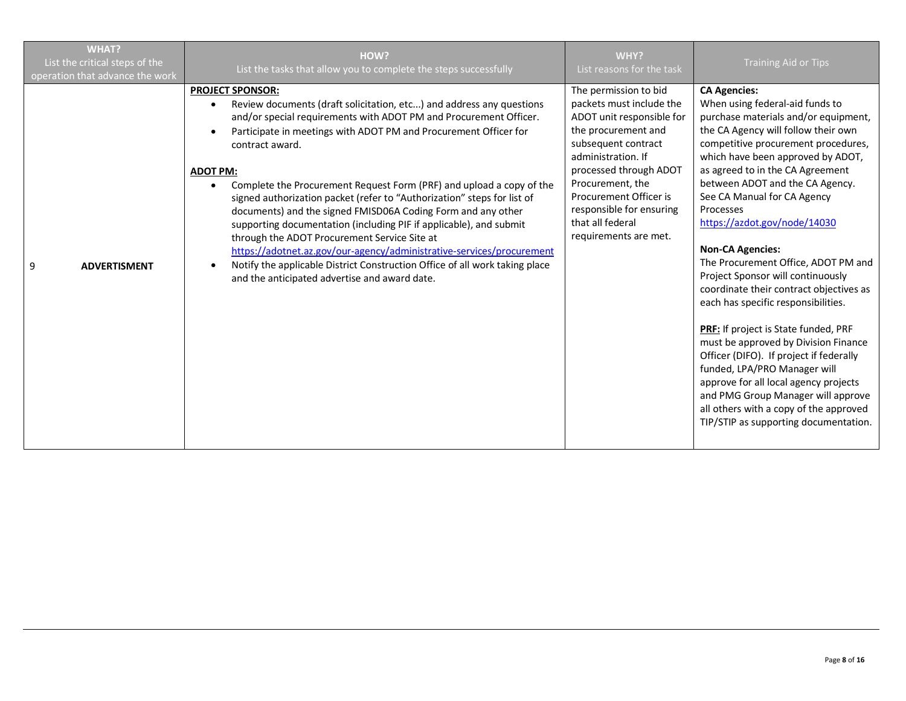|   | <b>WHAT?</b><br>List the critical steps of the<br>operation that advance the work | HOW?<br>List the tasks that allow you to complete the steps successfully                                                                                                                                                                                                                                                                                                                                                                                                                                                                                                                                                                                                                                                                                                                                                                      | WHY?<br>List reasons for the task                                                                                                                                                                                                                                                                   | <b>Training Aid or Tips</b>                                                                                                                                                                                                                                                                                                                                                                                                                                                                                                                                                                                                                                                                                                                                                                                                                                                                |
|---|-----------------------------------------------------------------------------------|-----------------------------------------------------------------------------------------------------------------------------------------------------------------------------------------------------------------------------------------------------------------------------------------------------------------------------------------------------------------------------------------------------------------------------------------------------------------------------------------------------------------------------------------------------------------------------------------------------------------------------------------------------------------------------------------------------------------------------------------------------------------------------------------------------------------------------------------------|-----------------------------------------------------------------------------------------------------------------------------------------------------------------------------------------------------------------------------------------------------------------------------------------------------|--------------------------------------------------------------------------------------------------------------------------------------------------------------------------------------------------------------------------------------------------------------------------------------------------------------------------------------------------------------------------------------------------------------------------------------------------------------------------------------------------------------------------------------------------------------------------------------------------------------------------------------------------------------------------------------------------------------------------------------------------------------------------------------------------------------------------------------------------------------------------------------------|
| 9 | <b>ADVERTISMENT</b>                                                               | <b>PROJECT SPONSOR:</b><br>Review documents (draft solicitation, etc) and address any questions<br>and/or special requirements with ADOT PM and Procurement Officer.<br>Participate in meetings with ADOT PM and Procurement Officer for<br>contract award.<br><b>ADOT PM:</b><br>Complete the Procurement Request Form (PRF) and upload a copy of the<br>signed authorization packet (refer to "Authorization" steps for list of<br>documents) and the signed FMISD06A Coding Form and any other<br>supporting documentation (including PIF if applicable), and submit<br>through the ADOT Procurement Service Site at<br>https://adotnet.az.gov/our-agency/administrative-services/procurement<br>Notify the applicable District Construction Office of all work taking place<br>$\bullet$<br>and the anticipated advertise and award date. | The permission to bid<br>packets must include the<br>ADOT unit responsible for<br>the procurement and<br>subsequent contract<br>administration. If<br>processed through ADOT<br>Procurement, the<br>Procurement Officer is<br>responsible for ensuring<br>that all federal<br>requirements are met. | <b>CA Agencies:</b><br>When using federal-aid funds to<br>purchase materials and/or equipment,<br>the CA Agency will follow their own<br>competitive procurement procedures,<br>which have been approved by ADOT,<br>as agreed to in the CA Agreement<br>between ADOT and the CA Agency.<br>See CA Manual for CA Agency<br>Processes<br>https://azdot.gov/node/14030<br><b>Non-CA Agencies:</b><br>The Procurement Office, ADOT PM and<br>Project Sponsor will continuously<br>coordinate their contract objectives as<br>each has specific responsibilities.<br>PRF: If project is State funded, PRF<br>must be approved by Division Finance<br>Officer (DIFO). If project if federally<br>funded, LPA/PRO Manager will<br>approve for all local agency projects<br>and PMG Group Manager will approve<br>all others with a copy of the approved<br>TIP/STIP as supporting documentation. |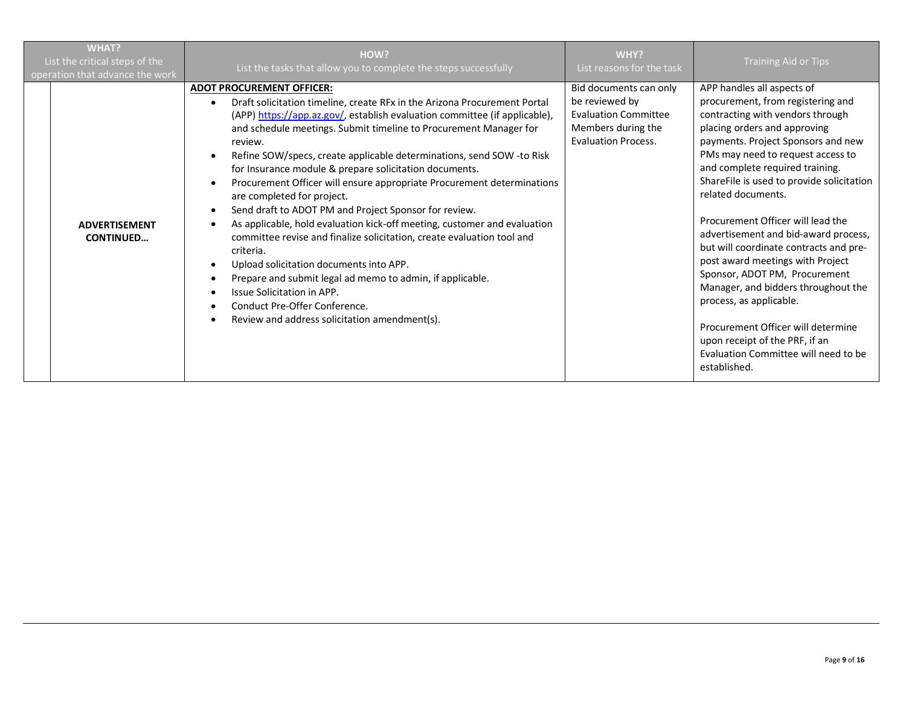| <b>WHAT?</b><br>List the critical steps of the<br>operation that advance the work | HOW?<br>List the tasks that allow you to complete the steps successfully                                                                                                                                                                                                                                                                                                                                                                                                                                                                                                                                                                                                                                                                                                                                                                                                                                                                                                           | WHY?<br>List reasons for the task                                                                                           | <b>Training Aid or Tips</b>                                                                                                                                                                                                                                                                                                                                                                                                                                                                                                                                                                                                                                                                                        |
|-----------------------------------------------------------------------------------|------------------------------------------------------------------------------------------------------------------------------------------------------------------------------------------------------------------------------------------------------------------------------------------------------------------------------------------------------------------------------------------------------------------------------------------------------------------------------------------------------------------------------------------------------------------------------------------------------------------------------------------------------------------------------------------------------------------------------------------------------------------------------------------------------------------------------------------------------------------------------------------------------------------------------------------------------------------------------------|-----------------------------------------------------------------------------------------------------------------------------|--------------------------------------------------------------------------------------------------------------------------------------------------------------------------------------------------------------------------------------------------------------------------------------------------------------------------------------------------------------------------------------------------------------------------------------------------------------------------------------------------------------------------------------------------------------------------------------------------------------------------------------------------------------------------------------------------------------------|
| <b>ADVERTISEMENT</b><br><b>CONTINUED</b>                                          | <b>ADOT PROCUREMENT OFFICER:</b><br>Draft solicitation timeline, create RFx in the Arizona Procurement Portal<br>(APP) https://app.az.gov/, establish evaluation committee (if applicable),<br>and schedule meetings. Submit timeline to Procurement Manager for<br>review.<br>Refine SOW/specs, create applicable determinations, send SOW - to Risk<br>for Insurance module & prepare solicitation documents.<br>Procurement Officer will ensure appropriate Procurement determinations<br>are completed for project.<br>Send draft to ADOT PM and Project Sponsor for review.<br>As applicable, hold evaluation kick-off meeting, customer and evaluation<br>committee revise and finalize solicitation, create evaluation tool and<br>criteria.<br>Upload solicitation documents into APP.<br>Prepare and submit legal ad memo to admin, if applicable.<br><b>Issue Solicitation in APP.</b><br>Conduct Pre-Offer Conference.<br>Review and address solicitation amendment(s). | Bid documents can only<br>be reviewed by<br><b>Evaluation Committee</b><br>Members during the<br><b>Evaluation Process.</b> | APP handles all aspects of<br>procurement, from registering and<br>contracting with vendors through<br>placing orders and approving<br>payments. Project Sponsors and new<br>PMs may need to request access to<br>and complete required training.<br>ShareFile is used to provide solicitation<br>related documents.<br>Procurement Officer will lead the<br>advertisement and bid-award process,<br>but will coordinate contracts and pre-<br>post award meetings with Project<br>Sponsor, ADOT PM, Procurement<br>Manager, and bidders throughout the<br>process, as applicable.<br>Procurement Officer will determine<br>upon receipt of the PRF, if an<br>Evaluation Committee will need to be<br>established. |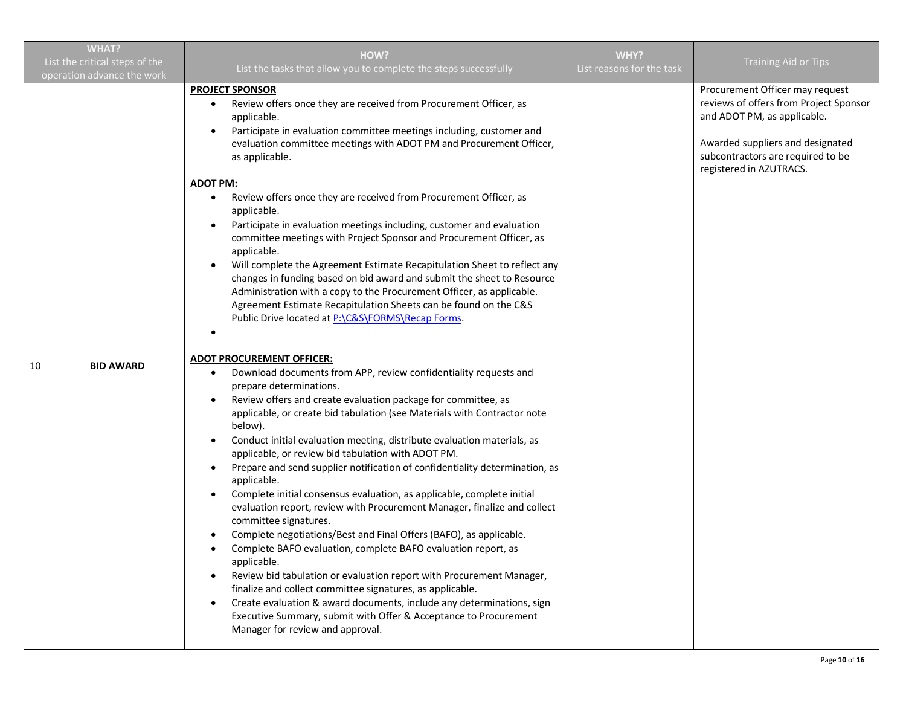| <b>WHAT?</b>                                                 |                                                                                                                                                                                                                                                                                                                                                                                                                                                                                                                                                                                                                                                                                                                                                                                                                                                                                                                                                                                                                                                                                                                                                                                                                                                                                                                                                                                                                                                                                                                                                                                                                                                                                                                                                                                                                                                                                                                                                                                                                                                                                                                               |                                   |                                                                                                                                                                                                              |
|--------------------------------------------------------------|-------------------------------------------------------------------------------------------------------------------------------------------------------------------------------------------------------------------------------------------------------------------------------------------------------------------------------------------------------------------------------------------------------------------------------------------------------------------------------------------------------------------------------------------------------------------------------------------------------------------------------------------------------------------------------------------------------------------------------------------------------------------------------------------------------------------------------------------------------------------------------------------------------------------------------------------------------------------------------------------------------------------------------------------------------------------------------------------------------------------------------------------------------------------------------------------------------------------------------------------------------------------------------------------------------------------------------------------------------------------------------------------------------------------------------------------------------------------------------------------------------------------------------------------------------------------------------------------------------------------------------------------------------------------------------------------------------------------------------------------------------------------------------------------------------------------------------------------------------------------------------------------------------------------------------------------------------------------------------------------------------------------------------------------------------------------------------------------------------------------------------|-----------------------------------|--------------------------------------------------------------------------------------------------------------------------------------------------------------------------------------------------------------|
| List the critical steps of the<br>operation advance the work | HOW?<br>List the tasks that allow you to complete the steps successfully                                                                                                                                                                                                                                                                                                                                                                                                                                                                                                                                                                                                                                                                                                                                                                                                                                                                                                                                                                                                                                                                                                                                                                                                                                                                                                                                                                                                                                                                                                                                                                                                                                                                                                                                                                                                                                                                                                                                                                                                                                                      | WHY?<br>List reasons for the task | <b>Training Aid or Tips</b>                                                                                                                                                                                  |
| 10<br><b>BID AWARD</b>                                       | <b>PROJECT SPONSOR</b><br>Review offers once they are received from Procurement Officer, as<br>applicable.<br>Participate in evaluation committee meetings including, customer and<br>evaluation committee meetings with ADOT PM and Procurement Officer,<br>as applicable.<br><b>ADOT PM:</b><br>Review offers once they are received from Procurement Officer, as<br>applicable.<br>Participate in evaluation meetings including, customer and evaluation<br>$\bullet$<br>committee meetings with Project Sponsor and Procurement Officer, as<br>applicable.<br>Will complete the Agreement Estimate Recapitulation Sheet to reflect any<br>changes in funding based on bid award and submit the sheet to Resource<br>Administration with a copy to the Procurement Officer, as applicable.<br>Agreement Estimate Recapitulation Sheets can be found on the C&S<br>Public Drive located at P:\C&S\FORMS\Recap Forms.<br><b>ADOT PROCUREMENT OFFICER:</b><br>Download documents from APP, review confidentiality requests and<br>prepare determinations.<br>Review offers and create evaluation package for committee, as<br>applicable, or create bid tabulation (see Materials with Contractor note<br>below).<br>Conduct initial evaluation meeting, distribute evaluation materials, as<br>applicable, or review bid tabulation with ADOT PM.<br>Prepare and send supplier notification of confidentiality determination, as<br>applicable.<br>Complete initial consensus evaluation, as applicable, complete initial<br>evaluation report, review with Procurement Manager, finalize and collect<br>committee signatures.<br>Complete negotiations/Best and Final Offers (BAFO), as applicable.<br>Complete BAFO evaluation, complete BAFO evaluation report, as<br>٠<br>applicable.<br>Review bid tabulation or evaluation report with Procurement Manager,<br>finalize and collect committee signatures, as applicable.<br>Create evaluation & award documents, include any determinations, sign<br>$\bullet$<br>Executive Summary, submit with Offer & Acceptance to Procurement<br>Manager for review and approval. |                                   | Procurement Officer may request<br>reviews of offers from Project Sponsor<br>and ADOT PM, as applicable.<br>Awarded suppliers and designated<br>subcontractors are required to be<br>registered in AZUTRACS. |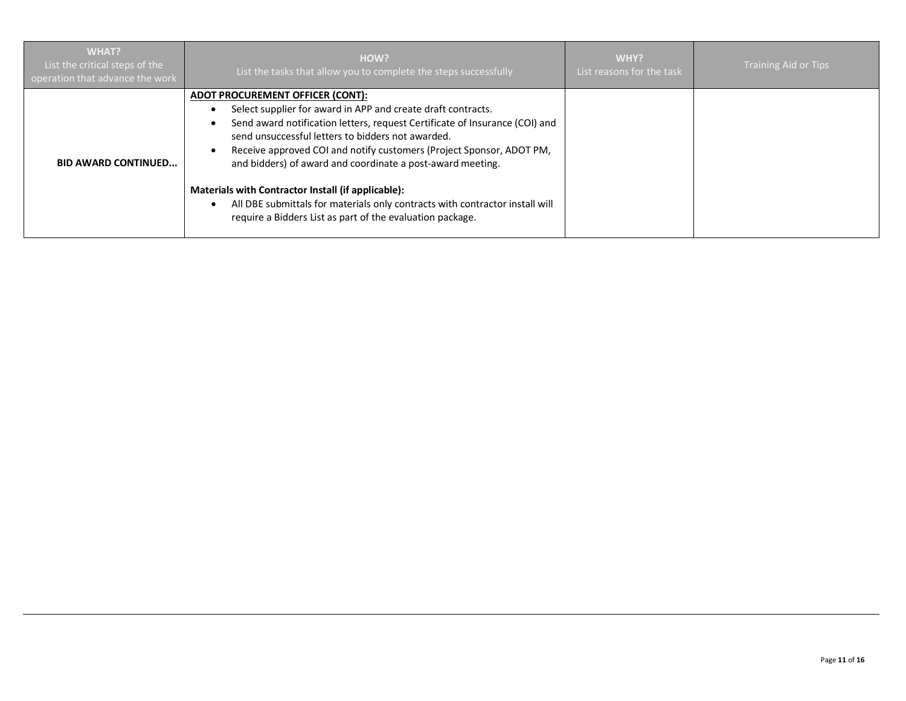| <b>WHAT?</b><br>List the critical steps of the<br>operation that advance the work | HOW?<br>List the tasks that allow you to complete the steps successfully                                                                                                                                                                                                                                                                                                                                                                                                                                                                                                           | WHY?<br>List reasons for the task | <b>Training Aid or Tips</b> |
|-----------------------------------------------------------------------------------|------------------------------------------------------------------------------------------------------------------------------------------------------------------------------------------------------------------------------------------------------------------------------------------------------------------------------------------------------------------------------------------------------------------------------------------------------------------------------------------------------------------------------------------------------------------------------------|-----------------------------------|-----------------------------|
| <b>BID AWARD CONTINUED</b>                                                        | ADOT PROCUREMENT OFFICER (CONT):<br>Select supplier for award in APP and create draft contracts.<br>Send award notification letters, request Certificate of Insurance (COI) and<br>send unsuccessful letters to bidders not awarded.<br>Receive approved COI and notify customers (Project Sponsor, ADOT PM,<br>and bidders) of award and coordinate a post-award meeting.<br>Materials with Contractor Install (if applicable):<br>All DBE submittals for materials only contracts with contractor install will<br>٠<br>require a Bidders List as part of the evaluation package. |                                   |                             |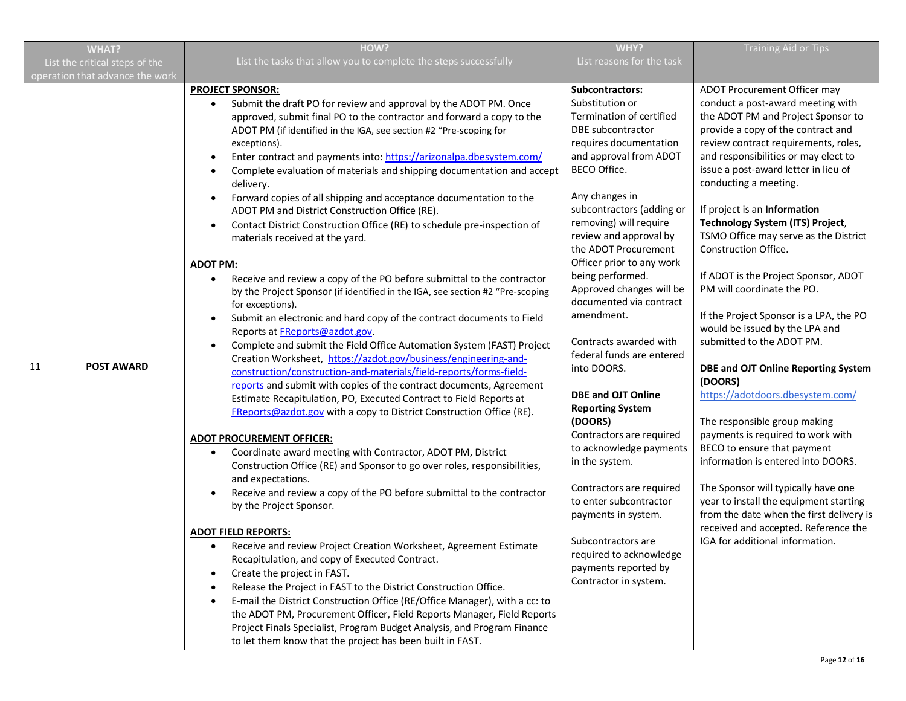| <b>WHAT?</b>                    | HOW?                                                                                                                                                                                                                                                                                                                                                                                                                                                                                                                                                                                                                                                                                                                                                                                                                                                                                                                                                                                                                                                                                                                                                                                                                                                                                                                                                                                                                                                                                                                                                                                                                                                                                                                                                                                                                                                                                                                                                                                                                                                                                                                                                                                                                                                                                                                                                                                                                          | WHY?                                                                                                                                                                                                                                                                                                                                                                                                                                                                                                                                                                                                                                                                                                                                                                                                             | <b>Training Aid or Tips</b>                                                                                                                                                                                                                                                                                                                                                                                                                                                                                                                                                                                                                                                                                                                                                                                                                                                                                                                                                                                                                                 |
|---------------------------------|-------------------------------------------------------------------------------------------------------------------------------------------------------------------------------------------------------------------------------------------------------------------------------------------------------------------------------------------------------------------------------------------------------------------------------------------------------------------------------------------------------------------------------------------------------------------------------------------------------------------------------------------------------------------------------------------------------------------------------------------------------------------------------------------------------------------------------------------------------------------------------------------------------------------------------------------------------------------------------------------------------------------------------------------------------------------------------------------------------------------------------------------------------------------------------------------------------------------------------------------------------------------------------------------------------------------------------------------------------------------------------------------------------------------------------------------------------------------------------------------------------------------------------------------------------------------------------------------------------------------------------------------------------------------------------------------------------------------------------------------------------------------------------------------------------------------------------------------------------------------------------------------------------------------------------------------------------------------------------------------------------------------------------------------------------------------------------------------------------------------------------------------------------------------------------------------------------------------------------------------------------------------------------------------------------------------------------------------------------------------------------------------------------------------------------|------------------------------------------------------------------------------------------------------------------------------------------------------------------------------------------------------------------------------------------------------------------------------------------------------------------------------------------------------------------------------------------------------------------------------------------------------------------------------------------------------------------------------------------------------------------------------------------------------------------------------------------------------------------------------------------------------------------------------------------------------------------------------------------------------------------|-------------------------------------------------------------------------------------------------------------------------------------------------------------------------------------------------------------------------------------------------------------------------------------------------------------------------------------------------------------------------------------------------------------------------------------------------------------------------------------------------------------------------------------------------------------------------------------------------------------------------------------------------------------------------------------------------------------------------------------------------------------------------------------------------------------------------------------------------------------------------------------------------------------------------------------------------------------------------------------------------------------------------------------------------------------|
| List the critical steps of the  | List the tasks that allow you to complete the steps successfully                                                                                                                                                                                                                                                                                                                                                                                                                                                                                                                                                                                                                                                                                                                                                                                                                                                                                                                                                                                                                                                                                                                                                                                                                                                                                                                                                                                                                                                                                                                                                                                                                                                                                                                                                                                                                                                                                                                                                                                                                                                                                                                                                                                                                                                                                                                                                              | List reasons for the task                                                                                                                                                                                                                                                                                                                                                                                                                                                                                                                                                                                                                                                                                                                                                                                        |                                                                                                                                                                                                                                                                                                                                                                                                                                                                                                                                                                                                                                                                                                                                                                                                                                                                                                                                                                                                                                                             |
| operation that advance the work |                                                                                                                                                                                                                                                                                                                                                                                                                                                                                                                                                                                                                                                                                                                                                                                                                                                                                                                                                                                                                                                                                                                                                                                                                                                                                                                                                                                                                                                                                                                                                                                                                                                                                                                                                                                                                                                                                                                                                                                                                                                                                                                                                                                                                                                                                                                                                                                                                               |                                                                                                                                                                                                                                                                                                                                                                                                                                                                                                                                                                                                                                                                                                                                                                                                                  |                                                                                                                                                                                                                                                                                                                                                                                                                                                                                                                                                                                                                                                                                                                                                                                                                                                                                                                                                                                                                                                             |
| 11<br><b>POST AWARD</b>         | <b>PROJECT SPONSOR:</b><br>Submit the draft PO for review and approval by the ADOT PM. Once<br>$\bullet$<br>approved, submit final PO to the contractor and forward a copy to the<br>ADOT PM (if identified in the IGA, see section #2 "Pre-scoping for<br>exceptions).<br>Enter contract and payments into: https://arizonalpa.dbesystem.com/<br>$\bullet$<br>Complete evaluation of materials and shipping documentation and accept<br>$\bullet$<br>delivery.<br>Forward copies of all shipping and acceptance documentation to the<br>$\bullet$<br>ADOT PM and District Construction Office (RE).<br>Contact District Construction Office (RE) to schedule pre-inspection of<br>$\bullet$<br>materials received at the yard.<br><b>ADOT PM:</b><br>Receive and review a copy of the PO before submittal to the contractor<br>$\bullet$<br>by the Project Sponsor (if identified in the IGA, see section #2 "Pre-scoping<br>for exceptions).<br>Submit an electronic and hard copy of the contract documents to Field<br>$\bullet$<br>Reports at <b>FReports@azdot.gov</b> .<br>Complete and submit the Field Office Automation System (FAST) Project<br>$\bullet$<br>Creation Worksheet, https://azdot.gov/business/engineering-and-<br>construction/construction-and-materials/field-reports/forms-field-<br>reports and submit with copies of the contract documents, Agreement<br>Estimate Recapitulation, PO, Executed Contract to Field Reports at<br>FReports@azdot.gov with a copy to District Construction Office (RE).<br><b>ADOT PROCUREMENT OFFICER:</b><br>Coordinate award meeting with Contractor, ADOT PM, District<br>Construction Office (RE) and Sponsor to go over roles, responsibilities,<br>and expectations.<br>Receive and review a copy of the PO before submittal to the contractor<br>$\bullet$<br>by the Project Sponsor.<br><b>ADOT FIELD REPORTS:</b><br>Receive and review Project Creation Worksheet, Agreement Estimate<br>Recapitulation, and copy of Executed Contract.<br>Create the project in FAST.<br>$\bullet$<br>Release the Project in FAST to the District Construction Office.<br>E-mail the District Construction Office (RE/Office Manager), with a cc: to<br>the ADOT PM, Procurement Officer, Field Reports Manager, Field Reports<br>Project Finals Specialist, Program Budget Analysis, and Program Finance<br>to let them know that the project has been built in FAST. | <b>Subcontractors:</b><br>Substitution or<br>Termination of certified<br>DBE subcontractor<br>requires documentation<br>and approval from ADOT<br>BECO Office.<br>Any changes in<br>subcontractors (adding or<br>removing) will require<br>review and approval by<br>the ADOT Procurement<br>Officer prior to any work<br>being performed.<br>Approved changes will be<br>documented via contract<br>amendment.<br>Contracts awarded with<br>federal funds are entered<br>into DOORS.<br><b>DBE and OJT Online</b><br><b>Reporting System</b><br>(DOORS)<br>Contractors are required<br>to acknowledge payments<br>in the system.<br>Contractors are required<br>to enter subcontractor<br>payments in system.<br>Subcontractors are<br>required to acknowledge<br>payments reported by<br>Contractor in system. | ADOT Procurement Officer may<br>conduct a post-award meeting with<br>the ADOT PM and Project Sponsor to<br>provide a copy of the contract and<br>review contract requirements, roles,<br>and responsibilities or may elect to<br>issue a post-award letter in lieu of<br>conducting a meeting.<br>If project is an Information<br>Technology System (ITS) Project,<br>TSMO Office may serve as the District<br>Construction Office.<br>If ADOT is the Project Sponsor, ADOT<br>PM will coordinate the PO.<br>If the Project Sponsor is a LPA, the PO<br>would be issued by the LPA and<br>submitted to the ADOT PM.<br>DBE and OJT Online Reporting System<br>(DOORS)<br>https://adotdoors.dbesystem.com/<br>The responsible group making<br>payments is required to work with<br>BECO to ensure that payment<br>information is entered into DOORS.<br>The Sponsor will typically have one<br>year to install the equipment starting<br>from the date when the first delivery is<br>received and accepted. Reference the<br>IGA for additional information. |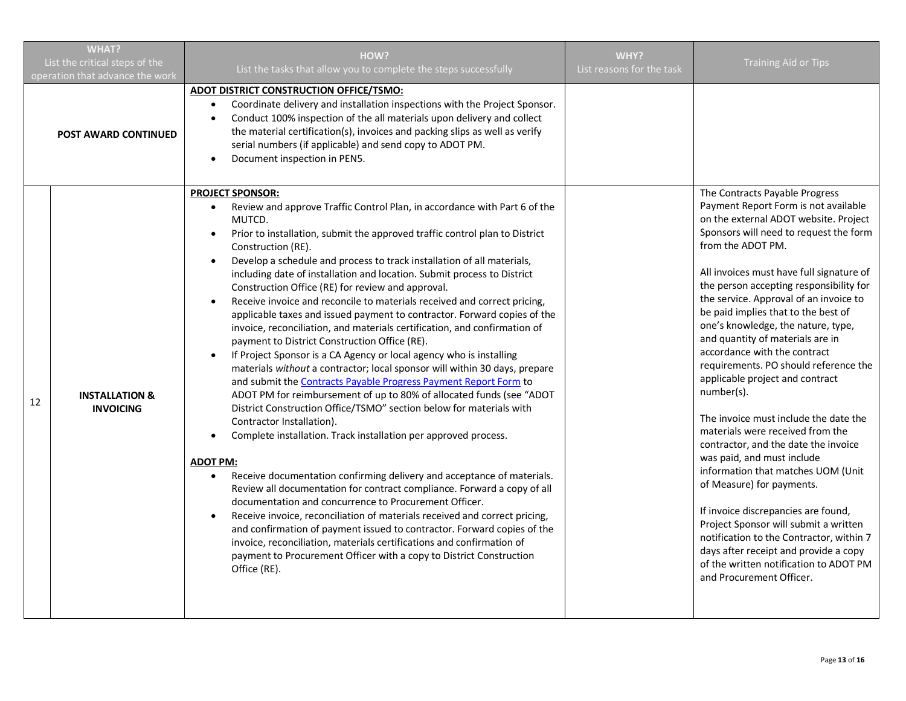| <b>WHAT?</b><br>List the critical steps of the<br>operation that advance the work |                                               | HOW?<br>List the tasks that allow you to complete the steps successfully                                                                                                                                                                                                                                                                                                                                                                                                                                                                                                                                                                                                                                                                                                                                                                                                                                                                                                                                                                                                                                                                                                                                                                                                                                                                                                                                                                                                                                                                                                                                                                                                                                                                                                                                                     | WHY?<br>List reasons for the task | <b>Training Aid or Tips</b>                                                                                                                                                                                                                                                                                                                                                                                                                                                                                                                                                                                                                                                                                                                                                                                                                                                                                                                                                                                                 |
|-----------------------------------------------------------------------------------|-----------------------------------------------|------------------------------------------------------------------------------------------------------------------------------------------------------------------------------------------------------------------------------------------------------------------------------------------------------------------------------------------------------------------------------------------------------------------------------------------------------------------------------------------------------------------------------------------------------------------------------------------------------------------------------------------------------------------------------------------------------------------------------------------------------------------------------------------------------------------------------------------------------------------------------------------------------------------------------------------------------------------------------------------------------------------------------------------------------------------------------------------------------------------------------------------------------------------------------------------------------------------------------------------------------------------------------------------------------------------------------------------------------------------------------------------------------------------------------------------------------------------------------------------------------------------------------------------------------------------------------------------------------------------------------------------------------------------------------------------------------------------------------------------------------------------------------------------------------------------------------|-----------------------------------|-----------------------------------------------------------------------------------------------------------------------------------------------------------------------------------------------------------------------------------------------------------------------------------------------------------------------------------------------------------------------------------------------------------------------------------------------------------------------------------------------------------------------------------------------------------------------------------------------------------------------------------------------------------------------------------------------------------------------------------------------------------------------------------------------------------------------------------------------------------------------------------------------------------------------------------------------------------------------------------------------------------------------------|
|                                                                                   | <b>POST AWARD CONTINUED</b>                   | ADOT DISTRICT CONSTRUCTION OFFICE/TSMO:<br>Coordinate delivery and installation inspections with the Project Sponsor.<br>Conduct 100% inspection of the all materials upon delivery and collect<br>$\bullet$<br>the material certification(s), invoices and packing slips as well as verify<br>serial numbers (if applicable) and send copy to ADOT PM.<br>Document inspection in PEN5.<br>$\bullet$                                                                                                                                                                                                                                                                                                                                                                                                                                                                                                                                                                                                                                                                                                                                                                                                                                                                                                                                                                                                                                                                                                                                                                                                                                                                                                                                                                                                                         |                                   |                                                                                                                                                                                                                                                                                                                                                                                                                                                                                                                                                                                                                                                                                                                                                                                                                                                                                                                                                                                                                             |
| 12                                                                                | <b>INSTALLATION &amp;</b><br><b>INVOICING</b> | PROJECT SPONSOR:<br>Review and approve Traffic Control Plan, in accordance with Part 6 of the<br>$\bullet$<br>MUTCD.<br>Prior to installation, submit the approved traffic control plan to District<br>Construction (RE).<br>Develop a schedule and process to track installation of all materials,<br>$\bullet$<br>including date of installation and location. Submit process to District<br>Construction Office (RE) for review and approval.<br>Receive invoice and reconcile to materials received and correct pricing,<br>$\bullet$<br>applicable taxes and issued payment to contractor. Forward copies of the<br>invoice, reconciliation, and materials certification, and confirmation of<br>payment to District Construction Office (RE).<br>If Project Sponsor is a CA Agency or local agency who is installing<br>$\bullet$<br>materials without a contractor; local sponsor will within 30 days, prepare<br>and submit the Contracts Payable Progress Payment Report Form to<br>ADOT PM for reimbursement of up to 80% of allocated funds (see "ADOT<br>District Construction Office/TSMO" section below for materials with<br>Contractor Installation).<br>Complete installation. Track installation per approved process.<br>$\bullet$<br><b>ADOT PM:</b><br>Receive documentation confirming delivery and acceptance of materials.<br>Review all documentation for contract compliance. Forward a copy of all<br>documentation and concurrence to Procurement Officer.<br>Receive invoice, reconciliation of materials received and correct pricing,<br>$\bullet$<br>and confirmation of payment issued to contractor. Forward copies of the<br>invoice, reconciliation, materials certifications and confirmation of<br>payment to Procurement Officer with a copy to District Construction<br>Office (RE). |                                   | The Contracts Payable Progress<br>Payment Report Form is not available<br>on the external ADOT website. Project<br>Sponsors will need to request the form<br>from the ADOT PM.<br>All invoices must have full signature of<br>the person accepting responsibility for<br>the service. Approval of an invoice to<br>be paid implies that to the best of<br>one's knowledge, the nature, type,<br>and quantity of materials are in<br>accordance with the contract<br>requirements. PO should reference the<br>applicable project and contract<br>number(s).<br>The invoice must include the date the<br>materials were received from the<br>contractor, and the date the invoice<br>was paid, and must include<br>information that matches UOM (Unit<br>of Measure) for payments.<br>If invoice discrepancies are found,<br>Project Sponsor will submit a written<br>notification to the Contractor, within 7<br>days after receipt and provide a copy<br>of the written notification to ADOT PM<br>and Procurement Officer. |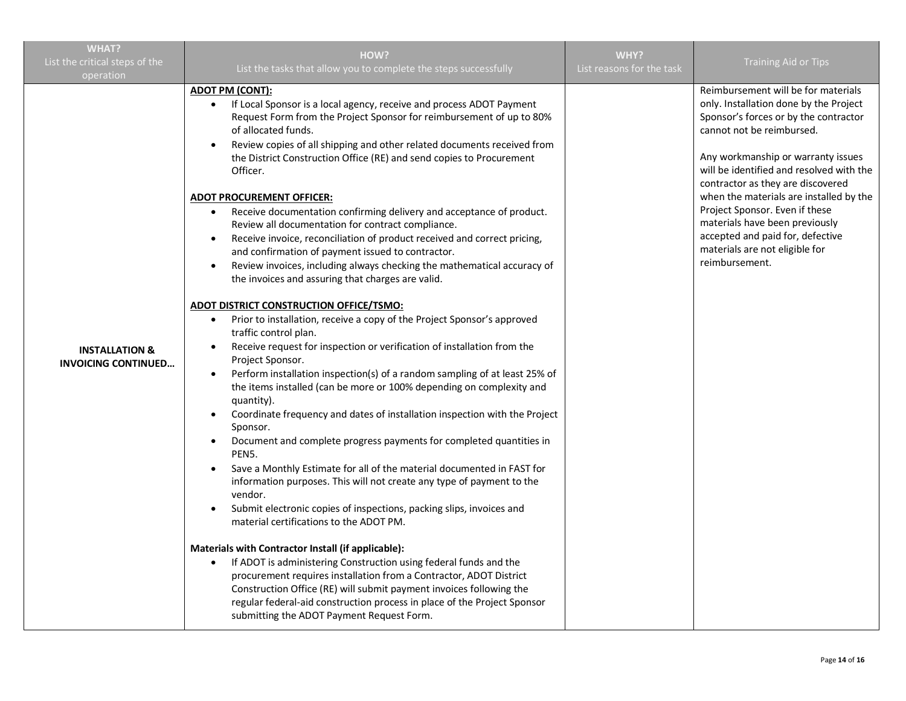| <b>WHAT?</b>                                            |                                                                                                                                                                                                                                                                                                                                                                                                                                                                                                                                                                                                                                                                                                                                                                                                                                                                                                                                                                                                                                                                                                                                                                                                                                                                                                                                                                                                                                                                                                                                                                                                                                                                                                                                                                                                                                                                                                                                                                                                                                                                                                                                  |                                   |                                                                                                                                                                                                                                                                                                                                                                                                                                                                                   |
|---------------------------------------------------------|----------------------------------------------------------------------------------------------------------------------------------------------------------------------------------------------------------------------------------------------------------------------------------------------------------------------------------------------------------------------------------------------------------------------------------------------------------------------------------------------------------------------------------------------------------------------------------------------------------------------------------------------------------------------------------------------------------------------------------------------------------------------------------------------------------------------------------------------------------------------------------------------------------------------------------------------------------------------------------------------------------------------------------------------------------------------------------------------------------------------------------------------------------------------------------------------------------------------------------------------------------------------------------------------------------------------------------------------------------------------------------------------------------------------------------------------------------------------------------------------------------------------------------------------------------------------------------------------------------------------------------------------------------------------------------------------------------------------------------------------------------------------------------------------------------------------------------------------------------------------------------------------------------------------------------------------------------------------------------------------------------------------------------------------------------------------------------------------------------------------------------|-----------------------------------|-----------------------------------------------------------------------------------------------------------------------------------------------------------------------------------------------------------------------------------------------------------------------------------------------------------------------------------------------------------------------------------------------------------------------------------------------------------------------------------|
| List the critical steps of the<br>operation             | HOW?<br>List the tasks that allow you to complete the steps successfully                                                                                                                                                                                                                                                                                                                                                                                                                                                                                                                                                                                                                                                                                                                                                                                                                                                                                                                                                                                                                                                                                                                                                                                                                                                                                                                                                                                                                                                                                                                                                                                                                                                                                                                                                                                                                                                                                                                                                                                                                                                         | WHY?<br>List reasons for the task | <b>Training Aid or Tips</b>                                                                                                                                                                                                                                                                                                                                                                                                                                                       |
| <b>INSTALLATION &amp;</b><br><b>INVOICING CONTINUED</b> | <u>ADOT PM (CONT):</u><br>If Local Sponsor is a local agency, receive and process ADOT Payment<br>Request Form from the Project Sponsor for reimbursement of up to 80%<br>of allocated funds.<br>Review copies of all shipping and other related documents received from<br>the District Construction Office (RE) and send copies to Procurement<br>Officer.<br><u>ADOT PROCUREMENT OFFICER:</u><br>Receive documentation confirming delivery and acceptance of product.<br>$\bullet$<br>Review all documentation for contract compliance.<br>Receive invoice, reconciliation of product received and correct pricing,<br>and confirmation of payment issued to contractor.<br>Review invoices, including always checking the mathematical accuracy of<br>the invoices and assuring that charges are valid.<br>ADOT DISTRICT CONSTRUCTION OFFICE/TSMO:<br>Prior to installation, receive a copy of the Project Sponsor's approved<br>$\bullet$<br>traffic control plan.<br>Receive request for inspection or verification of installation from the<br>Project Sponsor.<br>Perform installation inspection(s) of a random sampling of at least 25% of<br>the items installed (can be more or 100% depending on complexity and<br>quantity).<br>Coordinate frequency and dates of installation inspection with the Project<br>$\bullet$<br>Sponsor.<br>Document and complete progress payments for completed quantities in<br>PEN5.<br>Save a Monthly Estimate for all of the material documented in FAST for<br>information purposes. This will not create any type of payment to the<br>vendor.<br>Submit electronic copies of inspections, packing slips, invoices and<br>material certifications to the ADOT PM.<br>Materials with Contractor Install (if applicable):<br>If ADOT is administering Construction using federal funds and the<br>$\bullet$<br>procurement requires installation from a Contractor, ADOT District<br>Construction Office (RE) will submit payment invoices following the<br>regular federal-aid construction process in place of the Project Sponsor<br>submitting the ADOT Payment Request Form. |                                   | Reimbursement will be for materials<br>only. Installation done by the Project<br>Sponsor's forces or by the contractor<br>cannot not be reimbursed.<br>Any workmanship or warranty issues<br>will be identified and resolved with the<br>contractor as they are discovered<br>when the materials are installed by the<br>Project Sponsor. Even if these<br>materials have been previously<br>accepted and paid for, defective<br>materials are not eligible for<br>reimbursement. |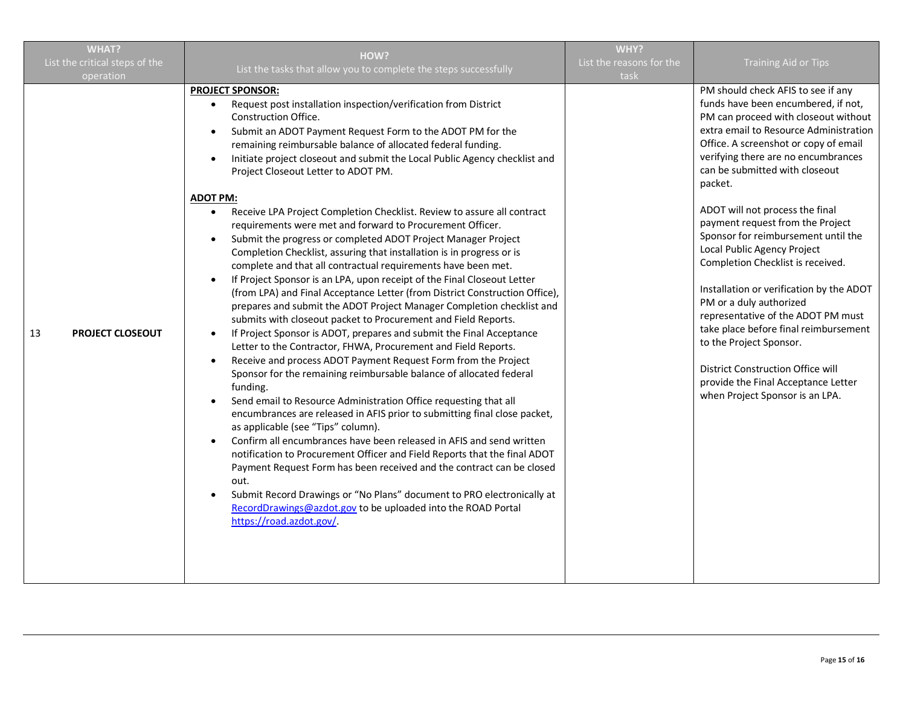| <b>WHAT?</b>                   | HOW?                                                                                                                                                                                                                                                                                                                                                                                                                                                                                                                                                                                                                                                                                                                                                                                                                                                                                                                                                                                                                                                                                                                                                                                                                                                                                                                                                                                                                                                                                                                                                                                                                                                                                                                                                                                                                                                                                                                                                                                                                | WHY?                     |                                                                                                                                                                                                                                                                                                                                                                                                                                                                                                                                                                                                                                                                                                                                                                            |
|--------------------------------|---------------------------------------------------------------------------------------------------------------------------------------------------------------------------------------------------------------------------------------------------------------------------------------------------------------------------------------------------------------------------------------------------------------------------------------------------------------------------------------------------------------------------------------------------------------------------------------------------------------------------------------------------------------------------------------------------------------------------------------------------------------------------------------------------------------------------------------------------------------------------------------------------------------------------------------------------------------------------------------------------------------------------------------------------------------------------------------------------------------------------------------------------------------------------------------------------------------------------------------------------------------------------------------------------------------------------------------------------------------------------------------------------------------------------------------------------------------------------------------------------------------------------------------------------------------------------------------------------------------------------------------------------------------------------------------------------------------------------------------------------------------------------------------------------------------------------------------------------------------------------------------------------------------------------------------------------------------------------------------------------------------------|--------------------------|----------------------------------------------------------------------------------------------------------------------------------------------------------------------------------------------------------------------------------------------------------------------------------------------------------------------------------------------------------------------------------------------------------------------------------------------------------------------------------------------------------------------------------------------------------------------------------------------------------------------------------------------------------------------------------------------------------------------------------------------------------------------------|
| List the critical steps of the | List the tasks that allow you to complete the steps successfully                                                                                                                                                                                                                                                                                                                                                                                                                                                                                                                                                                                                                                                                                                                                                                                                                                                                                                                                                                                                                                                                                                                                                                                                                                                                                                                                                                                                                                                                                                                                                                                                                                                                                                                                                                                                                                                                                                                                                    | List the reasons for the | <b>Training Aid or Tips</b>                                                                                                                                                                                                                                                                                                                                                                                                                                                                                                                                                                                                                                                                                                                                                |
| operation                      |                                                                                                                                                                                                                                                                                                                                                                                                                                                                                                                                                                                                                                                                                                                                                                                                                                                                                                                                                                                                                                                                                                                                                                                                                                                                                                                                                                                                                                                                                                                                                                                                                                                                                                                                                                                                                                                                                                                                                                                                                     | task                     |                                                                                                                                                                                                                                                                                                                                                                                                                                                                                                                                                                                                                                                                                                                                                                            |
| 13<br><b>PROJECT CLOSEOUT</b>  | <b>PROJECT SPONSOR:</b><br>Request post installation inspection/verification from District<br>$\bullet$<br>Construction Office.<br>Submit an ADOT Payment Request Form to the ADOT PM for the<br>$\bullet$<br>remaining reimbursable balance of allocated federal funding.<br>Initiate project closeout and submit the Local Public Agency checklist and<br>Project Closeout Letter to ADOT PM.<br><b>ADOT PM:</b><br>Receive LPA Project Completion Checklist. Review to assure all contract<br>$\bullet$<br>requirements were met and forward to Procurement Officer.<br>Submit the progress or completed ADOT Project Manager Project<br>Completion Checklist, assuring that installation is in progress or is<br>complete and that all contractual requirements have been met.<br>If Project Sponsor is an LPA, upon receipt of the Final Closeout Letter<br>(from LPA) and Final Acceptance Letter (from District Construction Office),<br>prepares and submit the ADOT Project Manager Completion checklist and<br>submits with closeout packet to Procurement and Field Reports.<br>If Project Sponsor is ADOT, prepares and submit the Final Acceptance<br>Letter to the Contractor, FHWA, Procurement and Field Reports.<br>Receive and process ADOT Payment Request Form from the Project<br>$\bullet$<br>Sponsor for the remaining reimbursable balance of allocated federal<br>funding.<br>Send email to Resource Administration Office requesting that all<br>encumbrances are released in AFIS prior to submitting final close packet,<br>as applicable (see "Tips" column).<br>Confirm all encumbrances have been released in AFIS and send written<br>$\bullet$<br>notification to Procurement Officer and Field Reports that the final ADOT<br>Payment Request Form has been received and the contract can be closed<br>out.<br>Submit Record Drawings or "No Plans" document to PRO electronically at<br>RecordDrawings@azdot.gov to be uploaded into the ROAD Portal<br>https://road.azdot.gov/. |                          | PM should check AFIS to see if any<br>funds have been encumbered, if not,<br>PM can proceed with closeout without<br>extra email to Resource Administration<br>Office. A screenshot or copy of email<br>verifying there are no encumbrances<br>can be submitted with closeout<br>packet.<br>ADOT will not process the final<br>payment request from the Project<br>Sponsor for reimbursement until the<br>Local Public Agency Project<br>Completion Checklist is received.<br>Installation or verification by the ADOT<br>PM or a duly authorized<br>representative of the ADOT PM must<br>take place before final reimbursement<br>to the Project Sponsor.<br>District Construction Office will<br>provide the Final Acceptance Letter<br>when Project Sponsor is an LPA. |